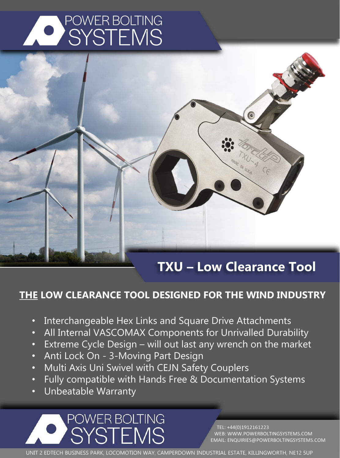



## **TXU – Low Clearance Tool**

#### **THE LOW CLEARANCE TOOL DESIGNED FOR THE WIND INDUSTRY**

- Interchangeable Hex Links and Square Drive Attachments
- All Internal VASCOMAX Components for Unrivalled Durability
- Extreme Cycle Design will out last any wrench on the market
- Anti Lock On 3-Moving Part Design
- Multi Axis Uni Swivel with CEJN Safety Couplers
- Fully compatible with Hands Free & Documentation Systems
- Unbeatable Warranty

POWER BOLTING SYSTEMS

TEL: +44(0)1912161223 WEB: WWW.POWERBOLTINGSYSTEMS.COM EMAIL: ENQUIRIES@POWERBOLTINGSYSTEMS.COM

UNIT 2 EDTECH BUSINESS PARK, LOCOMOTION WAY, CAMPERDOWN INDUSTRIAL ESTATE, KILLINGWORTH, NE12 5UP